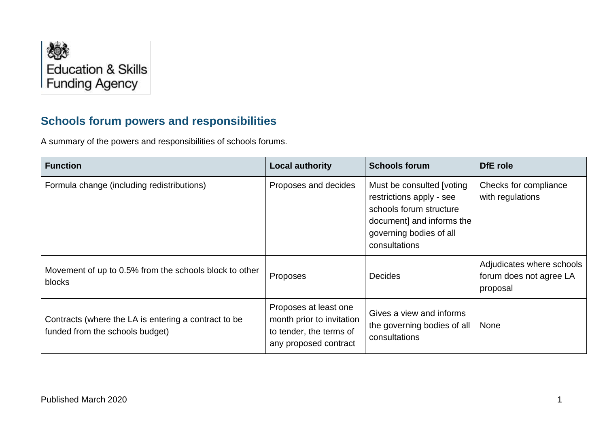

## **Schools forum powers and responsibilities**

A summary of the powers and responsibilities of schools forums.

| <b>Function</b>                                                                         | <b>Local authority</b>                                                                                 | <b>Schools forum</b>                                                                                                                                       | DfE role                                                         |
|-----------------------------------------------------------------------------------------|--------------------------------------------------------------------------------------------------------|------------------------------------------------------------------------------------------------------------------------------------------------------------|------------------------------------------------------------------|
| Formula change (including redistributions)                                              | Proposes and decides                                                                                   | Must be consulted [voting]<br>restrictions apply - see<br>schools forum structure<br>document] and informs the<br>governing bodies of all<br>consultations | Checks for compliance<br>with regulations                        |
| Movement of up to 0.5% from the schools block to other<br>blocks                        | Proposes                                                                                               | <b>Decides</b>                                                                                                                                             | Adjudicates where schools<br>forum does not agree LA<br>proposal |
| Contracts (where the LA is entering a contract to be<br>funded from the schools budget) | Proposes at least one<br>month prior to invitation<br>to tender, the terms of<br>any proposed contract | Gives a view and informs<br>the governing bodies of all<br>consultations                                                                                   | None                                                             |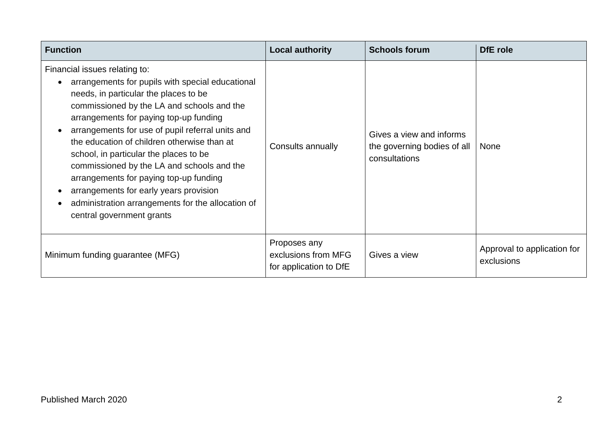| <b>Function</b>                                                                                                                                                                                                                                                                                                                                                                                                                                                                                                                                                                     | <b>Local authority</b>                                        | <b>Schools forum</b>                                                     | DfE role                                  |
|-------------------------------------------------------------------------------------------------------------------------------------------------------------------------------------------------------------------------------------------------------------------------------------------------------------------------------------------------------------------------------------------------------------------------------------------------------------------------------------------------------------------------------------------------------------------------------------|---------------------------------------------------------------|--------------------------------------------------------------------------|-------------------------------------------|
| Financial issues relating to:<br>arrangements for pupils with special educational<br>needs, in particular the places to be<br>commissioned by the LA and schools and the<br>arrangements for paying top-up funding<br>arrangements for use of pupil referral units and<br>the education of children otherwise than at<br>school, in particular the places to be<br>commissioned by the LA and schools and the<br>arrangements for paying top-up funding<br>arrangements for early years provision<br>administration arrangements for the allocation of<br>central government grants | Consults annually                                             | Gives a view and informs<br>the governing bodies of all<br>consultations | <b>None</b>                               |
| Minimum funding guarantee (MFG)                                                                                                                                                                                                                                                                                                                                                                                                                                                                                                                                                     | Proposes any<br>exclusions from MFG<br>for application to DfE | Gives a view                                                             | Approval to application for<br>exclusions |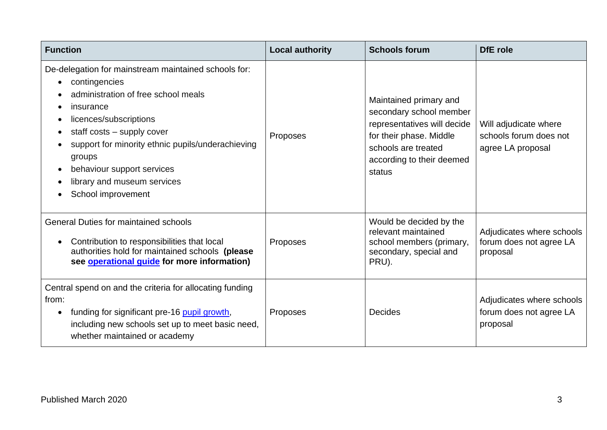| <b>Function</b>                                                                                                                                                                                                                                                                                                                                  | <b>Local authority</b> | <b>Schools forum</b>                                                                                                                                                      | <b>DfE</b> role                                                      |
|--------------------------------------------------------------------------------------------------------------------------------------------------------------------------------------------------------------------------------------------------------------------------------------------------------------------------------------------------|------------------------|---------------------------------------------------------------------------------------------------------------------------------------------------------------------------|----------------------------------------------------------------------|
| De-delegation for mainstream maintained schools for:<br>contingencies<br>administration of free school meals<br>insurance<br>licences/subscriptions<br>staff costs - supply cover<br>support for minority ethnic pupils/underachieving<br>groups<br>behaviour support services<br>$\bullet$<br>library and museum services<br>School improvement | Proposes               | Maintained primary and<br>secondary school member<br>representatives will decide<br>for their phase. Middle<br>schools are treated<br>according to their deemed<br>status | Will adjudicate where<br>schools forum does not<br>agree LA proposal |
| <b>General Duties for maintained schools</b><br>Contribution to responsibilities that local<br>authorities hold for maintained schools (please<br>see <b>operational guide</b> for more information)                                                                                                                                             | Proposes               | Would be decided by the<br>relevant maintained<br>school members (primary,<br>secondary, special and<br>PRU).                                                             | Adjudicates where schools<br>forum does not agree LA<br>proposal     |
| Central spend on and the criteria for allocating funding<br>from:<br>funding for significant pre-16 pupil growth,<br>including new schools set up to meet basic need,<br>whether maintained or academy                                                                                                                                           | Proposes               | <b>Decides</b>                                                                                                                                                            | Adjudicates where schools<br>forum does not agree LA<br>proposal     |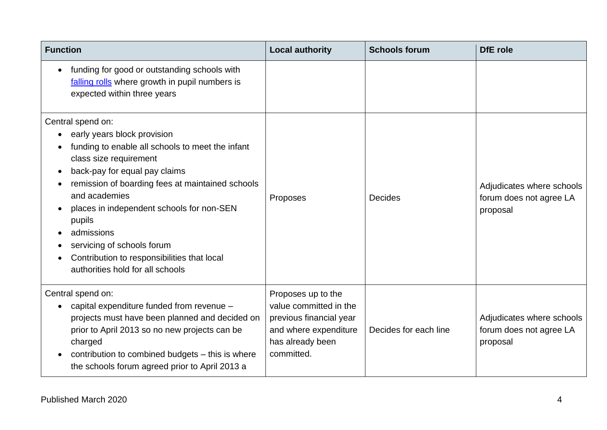| <b>Function</b>                                                                                                               | <b>Local authority</b>         | <b>Schools forum</b>  | <b>DfE</b> role           |
|-------------------------------------------------------------------------------------------------------------------------------|--------------------------------|-----------------------|---------------------------|
| funding for good or outstanding schools with<br>falling rolls where growth in pupil numbers is<br>expected within three years |                                |                       |                           |
| Central spend on:                                                                                                             |                                |                       |                           |
| early years block provision                                                                                                   |                                |                       |                           |
| funding to enable all schools to meet the infant<br>class size requirement                                                    |                                |                       |                           |
| back-pay for equal pay claims<br>$\bullet$                                                                                    |                                |                       |                           |
| remission of boarding fees at maintained schools                                                                              |                                |                       | Adjudicates where schools |
| and academies                                                                                                                 | Proposes                       | <b>Decides</b>        | forum does not agree LA   |
| places in independent schools for non-SEN<br>pupils                                                                           |                                |                       | proposal                  |
| admissions                                                                                                                    |                                |                       |                           |
| servicing of schools forum                                                                                                    |                                |                       |                           |
| Contribution to responsibilities that local                                                                                   |                                |                       |                           |
| authorities hold for all schools                                                                                              |                                |                       |                           |
| Central spend on:                                                                                                             | Proposes up to the             |                       |                           |
| capital expenditure funded from revenue -                                                                                     | value committed in the         |                       |                           |
| projects must have been planned and decided on                                                                                | previous financial year        |                       | Adjudicates where schools |
| prior to April 2013 so no new projects can be                                                                                 | and where expenditure          | Decides for each line | forum does not agree LA   |
| charged                                                                                                                       | has already been<br>committed. |                       | proposal                  |
| contribution to combined budgets - this is where<br>the schools forum agreed prior to April 2013 a                            |                                |                       |                           |
|                                                                                                                               |                                |                       |                           |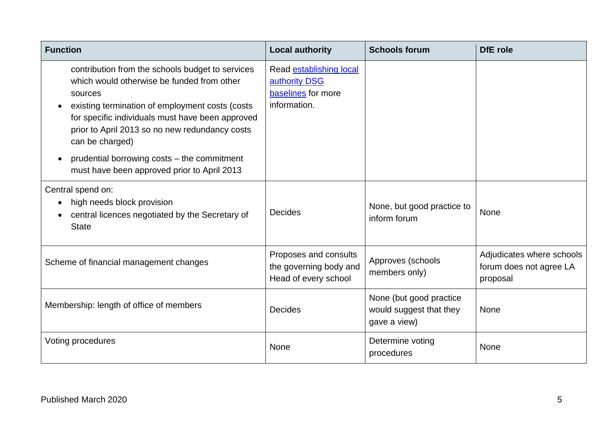| <b>Function</b>                                                                                                                                                                                                                                                                                                                                                                                  | <b>Local authority</b>                                                         | <b>Schools forum</b>                                               | DfE role                                                         |
|--------------------------------------------------------------------------------------------------------------------------------------------------------------------------------------------------------------------------------------------------------------------------------------------------------------------------------------------------------------------------------------------------|--------------------------------------------------------------------------------|--------------------------------------------------------------------|------------------------------------------------------------------|
| contribution from the schools budget to services<br>which would otherwise be funded from other<br>sources<br>existing termination of employment costs (costs<br>for specific individuals must have been approved<br>prior to April 2013 so no new redundancy costs<br>can be charged)<br>prudential borrowing costs – the commitment<br>$\bullet$<br>must have been approved prior to April 2013 | Read establishing local<br>authority DSG<br>baselines for more<br>information. |                                                                    |                                                                  |
| Central spend on:<br>high needs block provision<br>central licences negotiated by the Secretary of<br><b>State</b>                                                                                                                                                                                                                                                                               | <b>Decides</b>                                                                 | None, but good practice to<br>inform forum                         | <b>None</b>                                                      |
| Scheme of financial management changes                                                                                                                                                                                                                                                                                                                                                           | Proposes and consults<br>the governing body and<br>Head of every school        | Approves (schools<br>members only)                                 | Adjudicates where schools<br>forum does not agree LA<br>proposal |
| Membership: length of office of members                                                                                                                                                                                                                                                                                                                                                          | <b>Decides</b>                                                                 | None (but good practice<br>would suggest that they<br>gave a view) | <b>None</b>                                                      |
| Voting procedures                                                                                                                                                                                                                                                                                                                                                                                | None                                                                           | Determine voting<br>procedures                                     | None                                                             |